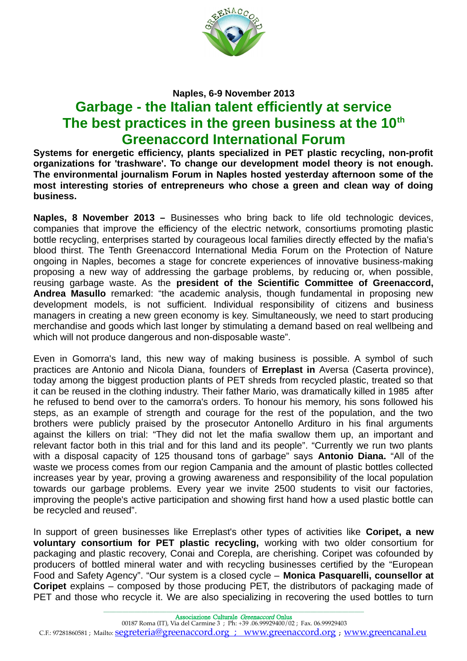

## **Naples, 6-9 November 2013**

## **Garbage - the Italian talent efficiently at service The best practices in the green business at the 10th Greenaccord International Forum**

**Systems for energetic efficiency, plants specialized in PET plastic recycling, non-profit organizations for 'trashware'. To change our development model theory is not enough. The environmental journalism Forum in Naples hosted yesterday afternoon some of the most interesting stories of entrepreneurs who chose a green and clean way of doing business.** 

**Naples, 8 November 2013 –** Businesses who bring back to life old technologic devices, companies that improve the efficiency of the electric network, consortiums promoting plastic bottle recycling, enterprises started by courageous local families directly effected by the mafia's blood thirst. The Tenth Greenaccord International Media Forum on the Protection of Nature ongoing in Naples, becomes a stage for concrete experiences of innovative business-making proposing a new way of addressing the garbage problems, by reducing or, when possible, reusing garbage waste. As the **president of the Scientific Committee of Greenaccord, Andrea Masullo** remarked: "the academic analysis, though fundamental in proposing new development models, is not sufficient. Individual responsibility of citizens and business managers in creating a new green economy is key. Simultaneously, we need to start producing merchandise and goods which last longer by stimulating a demand based on real wellbeing and which will not produce dangerous and non-disposable waste".

Even in Gomorra's land, this new way of making business is possible. A symbol of such practices are Antonio and Nicola Diana, founders of **Erreplast in** Aversa (Caserta province), today among the biggest production plants of PET shreds from recycled plastic, treated so that it can be reused in the clothing industry. Their father Mario, was dramatically killed in 1985 after he refused to bend over to the camorra's orders. To honour his memory, his sons followed his steps, as an example of strength and courage for the rest of the population, and the two brothers were publicly praised by the prosecutor Antonello Ardituro in his final arguments against the killers on trial: "They did not let the mafia swallow them up, an important and relevant factor both in this trial and for this land and its people". "Currently we run two plants with a disposal capacity of 125 thousand tons of garbage" says **Antonio Diana.** "All of the waste we process comes from our region Campania and the amount of plastic bottles collected increases year by year, proving a growing awareness and responsibility of the local population towards our garbage problems. Every year we invite 2500 students to visit our factories, improving the people's active participation and showing first hand how a used plastic bottle can be recycled and reused".

In support of green businesses like Erreplast's other types of activities like **Coripet, a new voluntary consortium for PET plastic recycling,** working with two older consortium for packaging and plastic recovery, Conai and Corepla, are cherishing. Coripet was cofounded by producers of bottled mineral water and with recycling businesses certified by the "European Food and Safety Agency". "Our system is a closed cycle – **Monica Pasquarelli, counsellor at Coripet** explains – composed by those producing PET, the distributors of packaging made of PET and those who recycle it. We are also specializing in recovering the used bottles to turn

\_\_\_\_\_\_\_\_\_\_\_\_\_\_\_\_\_\_\_\_\_\_\_\_\_\_\_\_\_\_\_\_\_\_\_\_\_\_\_\_\_\_\_\_\_\_\_\_\_\_\_\_\_\_\_\_\_\_\_\_\_\_\_\_\_\_\_\_\_\_\_\_\_\_\_\_\_\_\_\_\_\_\_